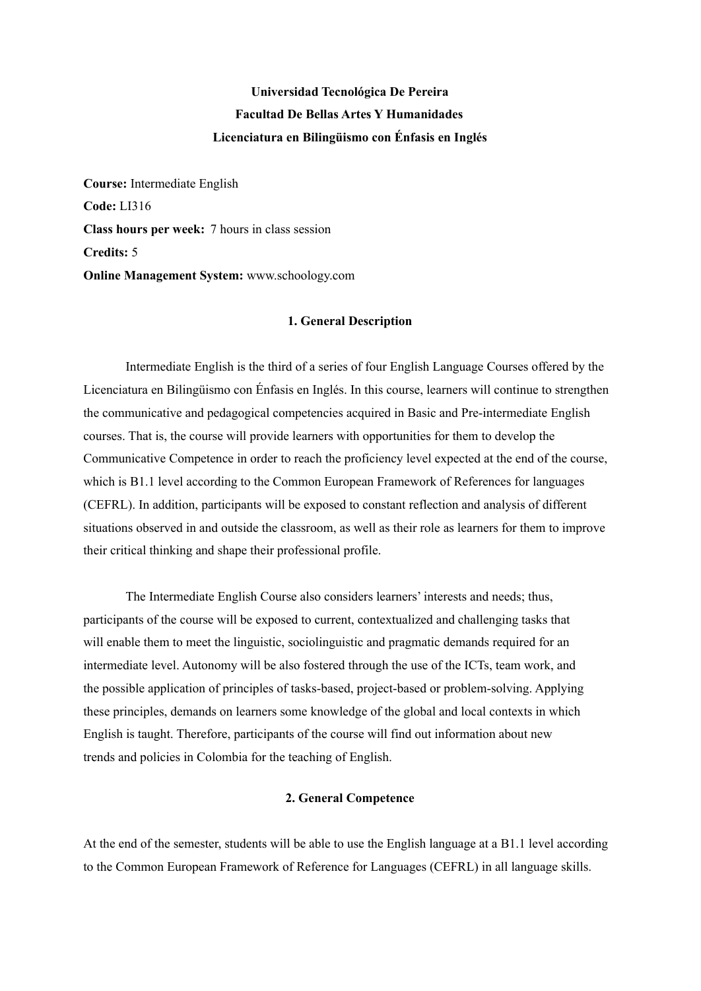# **Universidad Tecnológica De Pereira Facultad De Bellas Artes Y Humanidades Licenciatura en Bilingüismo con Énfasis en Inglés**

**Course:** Intermediate English **Code:** LI316 **Class hours per week:** 7 hours in class session **Credits:** 5 **Online Management System:** www.schoology.com

#### **1. General Description**

Intermediate English is the third of a series of four English Language Courses offered by the Licenciatura en Bilingüismo con Énfasis en Inglés. In this course, learners will continue to strengthen the communicative and pedagogical competencies acquired in Basic and Pre-intermediate English courses. That is, the course will provide learners with opportunities for them to develop the Communicative Competence in order to reach the proficiency level expected at the end of the course, which is B1.1 level according to the Common European Framework of References for languages (CEFRL). In addition, participants will be exposed to constant reflection and analysis of different situations observed in and outside the classroom, as well as their role as learners for them to improve their critical thinking and shape their professional profile.

The Intermediate English Course also considers learners' interests and needs; thus, participants of the course will be exposed to current, contextualized and challenging tasks that will enable them to meet the linguistic, sociolinguistic and pragmatic demands required for an intermediate level. Autonomy will be also fostered through the use of the ICTs, team work, and the possible application of principles of tasks-based, project-based or problem-solving. Applying these principles, demands on learners some knowledge of the global and local contexts in which English is taught. Therefore, participants of the course will find out information about new trends and policies in Colombia for the teaching of English.

#### **2. General Competence**

At the end of the semester, students will be able to use the English language at a B1.1 level according to the Common European Framework of Reference for Languages (CEFRL) in all language skills.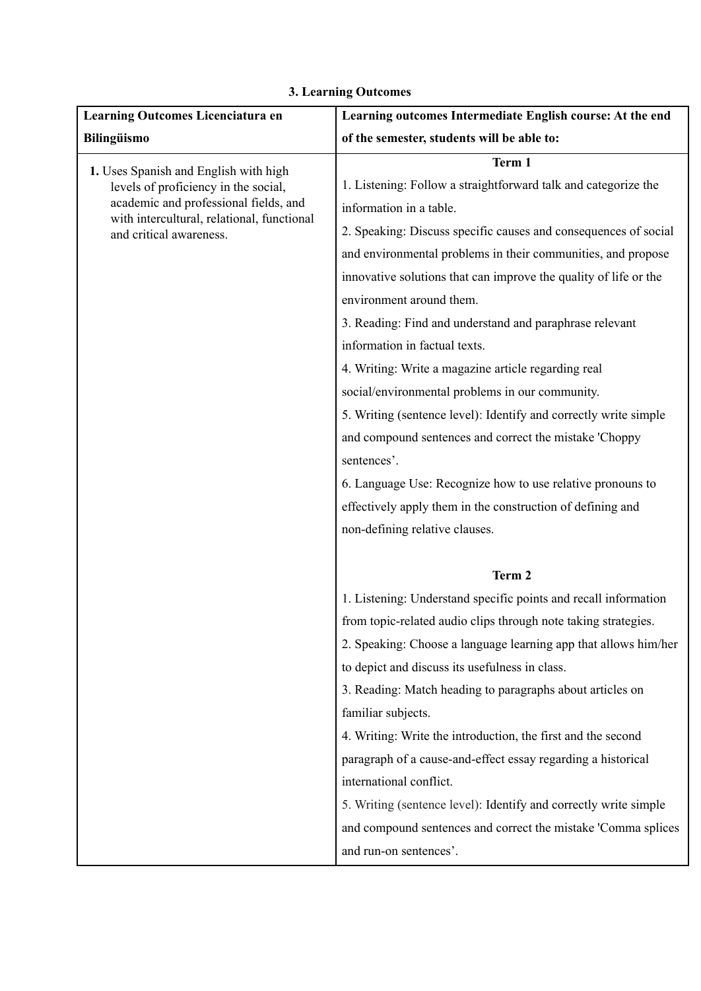| Learning Outcomes Licenciatura en                                                                                                                      | Learning outcomes Intermediate English course: At the end        |  |
|--------------------------------------------------------------------------------------------------------------------------------------------------------|------------------------------------------------------------------|--|
| <b>Bilingüismo</b>                                                                                                                                     | of the semester, students will be able to:                       |  |
| 1. Uses Spanish and English with high                                                                                                                  | Term 1                                                           |  |
| levels of proficiency in the social,<br>academic and professional fields, and<br>with intercultural, relational, functional<br>and critical awareness. | 1. Listening: Follow a straightforward talk and categorize the   |  |
|                                                                                                                                                        | information in a table.                                          |  |
|                                                                                                                                                        | 2. Speaking: Discuss specific causes and consequences of social  |  |
|                                                                                                                                                        | and environmental problems in their communities, and propose     |  |
|                                                                                                                                                        | innovative solutions that can improve the quality of life or the |  |
|                                                                                                                                                        | environment around them.                                         |  |
|                                                                                                                                                        | 3. Reading: Find and understand and paraphrase relevant          |  |
|                                                                                                                                                        | information in factual texts.                                    |  |
|                                                                                                                                                        | 4. Writing: Write a magazine article regarding real              |  |
|                                                                                                                                                        | social/environmental problems in our community.                  |  |
|                                                                                                                                                        | 5. Writing (sentence level): Identify and correctly write simple |  |
|                                                                                                                                                        | and compound sentences and correct the mistake 'Choppy           |  |
|                                                                                                                                                        | sentences'.                                                      |  |
|                                                                                                                                                        | 6. Language Use: Recognize how to use relative pronouns to       |  |
|                                                                                                                                                        | effectively apply them in the construction of defining and       |  |
|                                                                                                                                                        | non-defining relative clauses.                                   |  |
|                                                                                                                                                        |                                                                  |  |
|                                                                                                                                                        | Term 2                                                           |  |
|                                                                                                                                                        | 1. Listening: Understand specific points and recall information  |  |
|                                                                                                                                                        | from topic-related audio clips through note taking strategies.   |  |
|                                                                                                                                                        | 2. Speaking: Choose a language learning app that allows him/her  |  |
|                                                                                                                                                        | to depict and discuss its usefulness in class.                   |  |
|                                                                                                                                                        | 3. Reading: Match heading to paragraphs about articles on        |  |
|                                                                                                                                                        | familiar subjects.                                               |  |
|                                                                                                                                                        | 4. Writing: Write the introduction, the first and the second     |  |
|                                                                                                                                                        | paragraph of a cause-and-effect essay regarding a historical     |  |
|                                                                                                                                                        | international conflict.                                          |  |
|                                                                                                                                                        | 5. Writing (sentence level): Identify and correctly write simple |  |
|                                                                                                                                                        | and compound sentences and correct the mistake 'Comma splices    |  |
|                                                                                                                                                        | and run-on sentences'.                                           |  |

# **3. Learning Outcomes**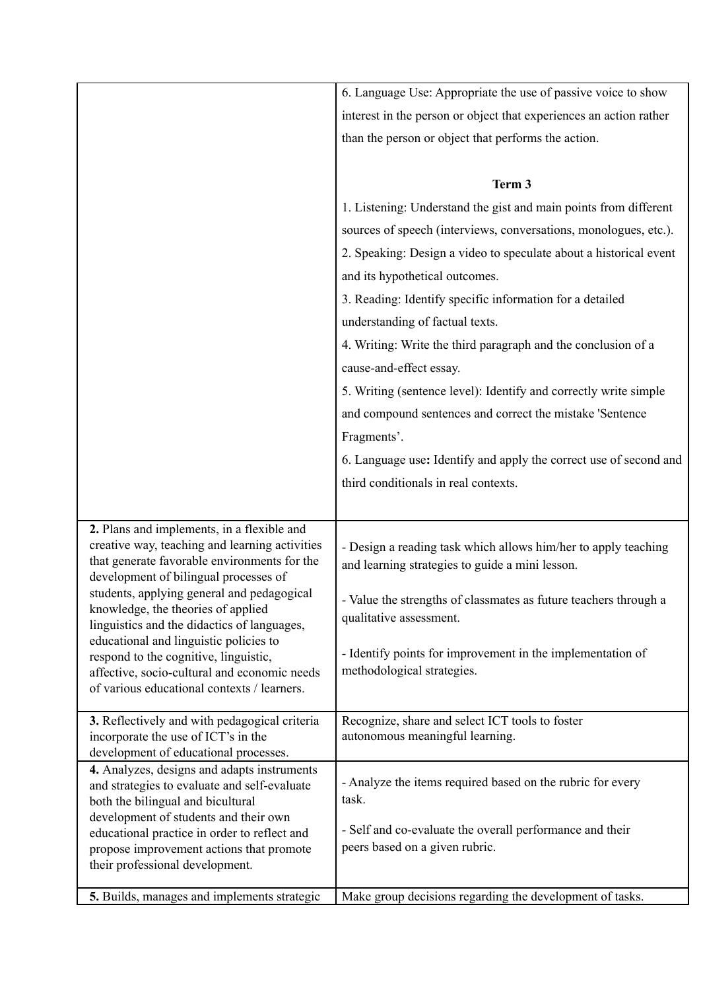|                                                                                              | 6. Language Use: Appropriate the use of passive voice to show                            |  |  |
|----------------------------------------------------------------------------------------------|------------------------------------------------------------------------------------------|--|--|
|                                                                                              | interest in the person or object that experiences an action rather                       |  |  |
|                                                                                              | than the person or object that performs the action.                                      |  |  |
|                                                                                              |                                                                                          |  |  |
|                                                                                              | Term 3                                                                                   |  |  |
|                                                                                              | 1. Listening: Understand the gist and main points from different                         |  |  |
|                                                                                              | sources of speech (interviews, conversations, monologues, etc.).                         |  |  |
|                                                                                              | 2. Speaking: Design a video to speculate about a historical event                        |  |  |
|                                                                                              |                                                                                          |  |  |
|                                                                                              | and its hypothetical outcomes.                                                           |  |  |
|                                                                                              | 3. Reading: Identify specific information for a detailed                                 |  |  |
|                                                                                              | understanding of factual texts.                                                          |  |  |
|                                                                                              | 4. Writing: Write the third paragraph and the conclusion of a                            |  |  |
|                                                                                              | cause-and-effect essay.                                                                  |  |  |
|                                                                                              | 5. Writing (sentence level): Identify and correctly write simple                         |  |  |
|                                                                                              | and compound sentences and correct the mistake 'Sentence                                 |  |  |
|                                                                                              | Fragments'.                                                                              |  |  |
|                                                                                              | 6. Language use: Identify and apply the correct use of second and                        |  |  |
|                                                                                              | third conditionals in real contexts.                                                     |  |  |
|                                                                                              |                                                                                          |  |  |
|                                                                                              |                                                                                          |  |  |
| 2. Plans and implements, in a flexible and<br>creative way, teaching and learning activities | - Design a reading task which allows him/her to apply teaching                           |  |  |
| that generate favorable environments for the                                                 | and learning strategies to guide a mini lesson.                                          |  |  |
| development of bilingual processes of                                                        |                                                                                          |  |  |
| students, applying general and pedagogical<br>knowledge, the theories of applied             | - Value the strengths of classmates as future teachers through a                         |  |  |
| linguistics and the didactics of languages,                                                  | qualitative assessment.                                                                  |  |  |
| educational and linguistic policies to                                                       |                                                                                          |  |  |
| respond to the cognitive, linguistic,<br>affective, socio-cultural and economic needs        | - Identify points for improvement in the implementation of<br>methodological strategies. |  |  |
| of various educational contexts / learners.                                                  |                                                                                          |  |  |
|                                                                                              |                                                                                          |  |  |
| 3. Reflectively and with pedagogical criteria                                                | Recognize, share and select ICT tools to foster                                          |  |  |
| incorporate the use of ICT's in the<br>development of educational processes.                 | autonomous meaningful learning.                                                          |  |  |
| 4. Analyzes, designs and adapts instruments                                                  |                                                                                          |  |  |
| and strategies to evaluate and self-evaluate                                                 | - Analyze the items required based on the rubric for every                               |  |  |
| both the bilingual and bicultural<br>development of students and their own                   | task.                                                                                    |  |  |
| educational practice in order to reflect and                                                 | - Self and co-evaluate the overall performance and their                                 |  |  |
| propose improvement actions that promote                                                     | peers based on a given rubric.                                                           |  |  |
| their professional development.                                                              |                                                                                          |  |  |
| 5. Builds, manages and implements strategic                                                  | Make group decisions regarding the development of tasks.                                 |  |  |
|                                                                                              |                                                                                          |  |  |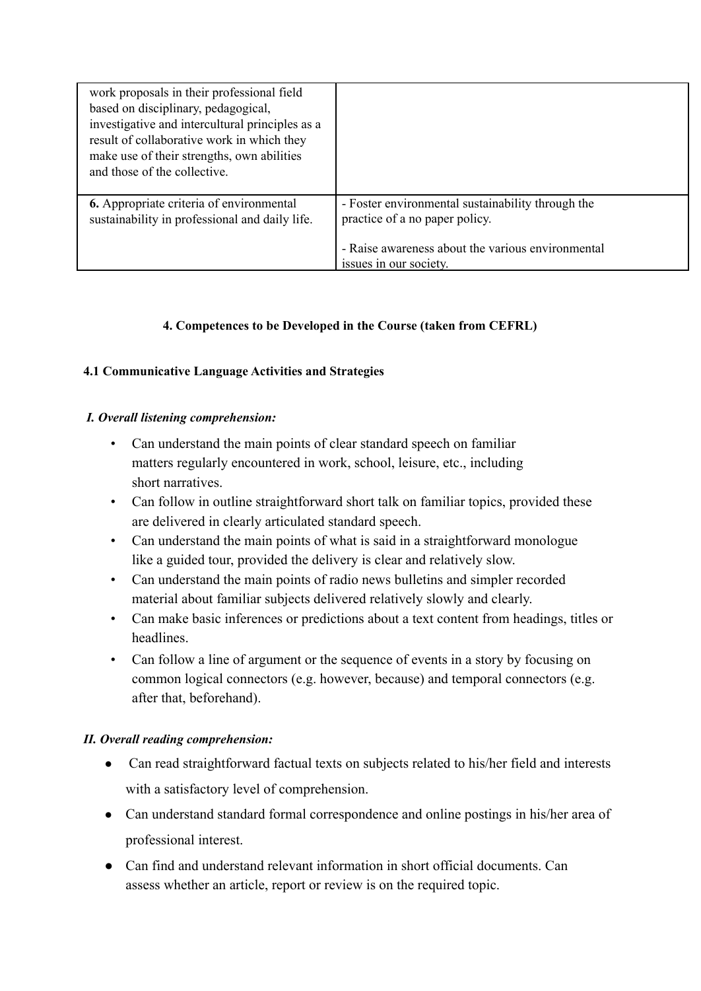| work proposals in their professional field<br>based on disciplinary, pedagogical,<br>investigative and intercultural principles as a<br>result of collaborative work in which they<br>make use of their strengths, own abilities<br>and those of the collective. |                                                                                                                                                                    |
|------------------------------------------------------------------------------------------------------------------------------------------------------------------------------------------------------------------------------------------------------------------|--------------------------------------------------------------------------------------------------------------------------------------------------------------------|
| 6. Appropriate criteria of environmental<br>sustainability in professional and daily life.                                                                                                                                                                       | - Foster environmental sustainability through the<br>practice of a no paper policy.<br>- Raise awareness about the various environmental<br>issues in our society. |

### **4. Competences to be Developed in the Course (taken from CEFRL)**

#### **4.1 Communicative Language Activities and Strategies**

#### *I. Overall listening comprehension:*

- Can understand the main points of clear standard speech on familiar matters regularly encountered in work, school, leisure, etc., including short narratives.
- Can follow in outline straightforward short talk on familiar topics, provided these are delivered in clearly articulated standard speech.
- Can understand the main points of what is said in a straightforward monologue like a guided tour, provided the delivery is clear and relatively slow.
- Can understand the main points of radio news bulletins and simpler recorded material about familiar subjects delivered relatively slowly and clearly.
- Can make basic inferences or predictions about a text content from headings, titles or headlines.
- Can follow a line of argument or the sequence of events in a story by focusing on common logical connectors (e.g. however, because) and temporal connectors (e.g. after that, beforehand).

#### *II. Overall reading comprehension:*

- Can read straightforward factual texts on subjects related to his/her field and interests with a satisfactory level of comprehension.
- Can understand standard formal correspondence and online postings in his/her area of professional interest.
- Can find and understand relevant information in short official documents. Can assess whether an article, report or review is on the required topic.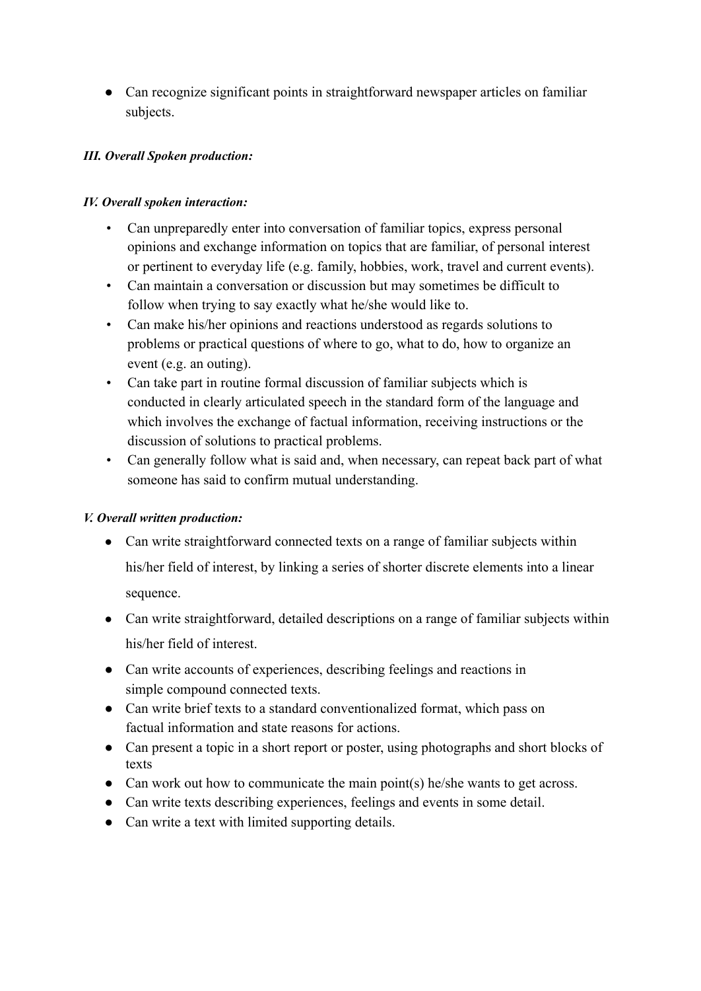● Can recognize significant points in straightforward newspaper articles on familiar subjects.

### *III. Overall Spoken production:*

### *IV. Overall spoken interaction:*

- Can unpreparedly enter into conversation of familiar topics, express personal opinions and exchange information on topics that are familiar, of personal interest or pertinent to everyday life (e.g. family, hobbies, work, travel and current events).
- Can maintain a conversation or discussion but may sometimes be difficult to follow when trying to say exactly what he/she would like to.
- Can make his/her opinions and reactions understood as regards solutions to problems or practical questions of where to go, what to do, how to organize an event (e.g. an outing).
- Can take part in routine formal discussion of familiar subjects which is conducted in clearly articulated speech in the standard form of the language and which involves the exchange of factual information, receiving instructions or the discussion of solutions to practical problems.
- Can generally follow what is said and, when necessary, can repeat back part of what someone has said to confirm mutual understanding.

#### *V. Overall written production:*

- Can write straightforward connected texts on a range of familiar subjects within his/her field of interest, by linking a series of shorter discrete elements into a linear sequence.
- Can write straightforward, detailed descriptions on a range of familiar subjects within his/her field of interest.
- Can write accounts of experiences, describing feelings and reactions in simple compound connected texts.
- Can write brief texts to a standard conventionalized format, which pass on factual information and state reasons for actions.
- Can present a topic in a short report or poster, using photographs and short blocks of texts
- Can work out how to communicate the main point(s) he/she wants to get across.
- Can write texts describing experiences, feelings and events in some detail.
- Can write a text with limited supporting details.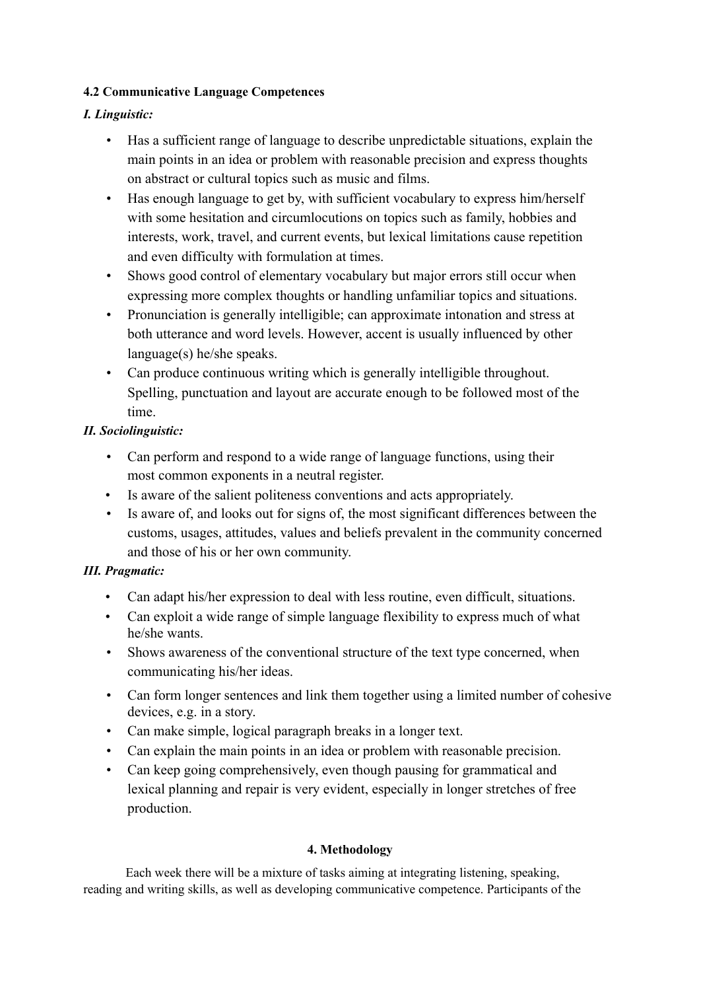### **4.2 Communicative Language Competences**

## *I. Linguistic:*

- Has a sufficient range of language to describe unpredictable situations, explain the main points in an idea or problem with reasonable precision and express thoughts on abstract or cultural topics such as music and films.
- Has enough language to get by, with sufficient vocabulary to express him/herself with some hesitation and circumlocutions on topics such as family, hobbies and interests, work, travel, and current events, but lexical limitations cause repetition and even difficulty with formulation at times.
- Shows good control of elementary vocabulary but major errors still occur when expressing more complex thoughts or handling unfamiliar topics and situations.
- Pronunciation is generally intelligible; can approximate intonation and stress at both utterance and word levels. However, accent is usually influenced by other language(s) he/she speaks.
- Can produce continuous writing which is generally intelligible throughout. Spelling, punctuation and layout are accurate enough to be followed most of the time.

### *II. Sociolinguistic:*

- Can perform and respond to a wide range of language functions, using their most common exponents in a neutral register.
- Is aware of the salient politeness conventions and acts appropriately.
- Is aware of, and looks out for signs of, the most significant differences between the customs, usages, attitudes, values and beliefs prevalent in the community concerned and those of his or her own community.

## *III. Pragmatic:*

- Can adapt his/her expression to deal with less routine, even difficult, situations.
- Can exploit a wide range of simple language flexibility to express much of what he/she wants.
- Shows awareness of the conventional structure of the text type concerned, when communicating his/her ideas.
- Can form longer sentences and link them together using a limited number of cohesive devices, e.g. in a story.
- Can make simple, logical paragraph breaks in a longer text.
- Can explain the main points in an idea or problem with reasonable precision.
- Can keep going comprehensively, even though pausing for grammatical and lexical planning and repair is very evident, especially in longer stretches of free production.

#### **4. Methodology**

Each week there will be a mixture of tasks aiming at integrating listening, speaking, reading and writing skills, as well as developing communicative competence. Participants of the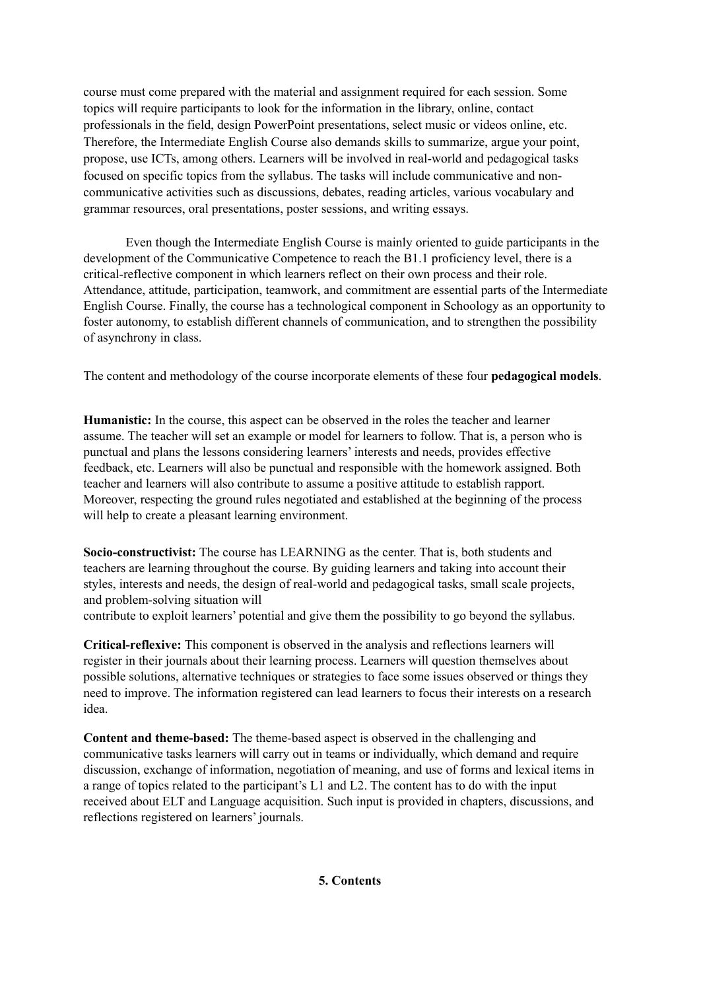course must come prepared with the material and assignment required for each session. Some topics will require participants to look for the information in the library, online, contact professionals in the field, design PowerPoint presentations, select music or videos online, etc. Therefore, the Intermediate English Course also demands skills to summarize, argue your point, propose, use ICTs, among others. Learners will be involved in real-world and pedagogical tasks focused on specific topics from the syllabus. The tasks will include communicative and noncommunicative activities such as discussions, debates, reading articles, various vocabulary and grammar resources, oral presentations, poster sessions, and writing essays.

Even though the Intermediate English Course is mainly oriented to guide participants in the development of the Communicative Competence to reach the B1.1 proficiency level, there is a critical-reflective component in which learners reflect on their own process and their role. Attendance, attitude, participation, teamwork, and commitment are essential parts of the Intermediate English Course. Finally, the course has a technological component in Schoology as an opportunity to foster autonomy, to establish different channels of communication, and to strengthen the possibility of asynchrony in class.

The content and methodology of the course incorporate elements of these four **pedagogical models**.

**Humanistic:** In the course, this aspect can be observed in the roles the teacher and learner assume. The teacher will set an example or model for learners to follow. That is, a person who is punctual and plans the lessons considering learners' interests and needs, provides effective feedback, etc. Learners will also be punctual and responsible with the homework assigned. Both teacher and learners will also contribute to assume a positive attitude to establish rapport. Moreover, respecting the ground rules negotiated and established at the beginning of the process will help to create a pleasant learning environment.

**Socio-constructivist:** The course has LEARNING as the center. That is, both students and teachers are learning throughout the course. By guiding learners and taking into account their styles, interests and needs, the design of real-world and pedagogical tasks, small scale projects, and problem-solving situation will

contribute to exploit learners' potential and give them the possibility to go beyond the syllabus.

**Critical-reflexive:** This component is observed in the analysis and reflections learners will register in their journals about their learning process. Learners will question themselves about possible solutions, alternative techniques or strategies to face some issues observed or things they need to improve. The information registered can lead learners to focus their interests on a research idea.

**Content and theme-based:** The theme-based aspect is observed in the challenging and communicative tasks learners will carry out in teams or individually, which demand and require discussion, exchange of information, negotiation of meaning, and use of forms and lexical items in a range of topics related to the participant's L1 and L2. The content has to do with the input received about ELT and Language acquisition. Such input is provided in chapters, discussions, and reflections registered on learners' journals.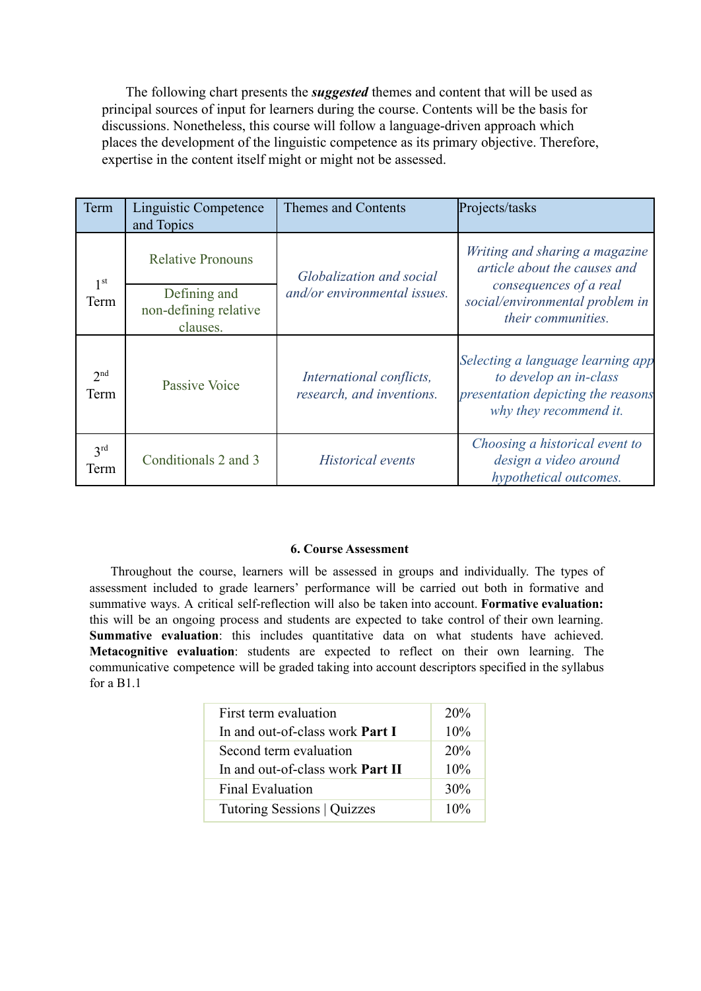The following chart presents the *suggested* themes and content that will be used as principal sources of input for learners during the course. Contents will be the basis for discussions. Nonetheless, this course will follow a language-driven approach which places the development of the linguistic competence as its primary objective. Therefore, expertise in the content itself might or might not be assessed.

| Term                    | Linguistic Competence<br>and Topics               | Themes and Contents                                      | Projects/tasks                                                                                                              |
|-------------------------|---------------------------------------------------|----------------------------------------------------------|-----------------------------------------------------------------------------------------------------------------------------|
| 1 <sup>st</sup><br>Term | <b>Relative Pronouns</b>                          | Globalization and social<br>and/or environmental issues. | Writing and sharing a magazine<br>article about the causes and                                                              |
|                         | Defining and<br>non-defining relative<br>clauses. |                                                          | consequences of a real<br>social/environmental problem in<br>their communities.                                             |
| 2 <sub>nd</sub><br>Term | Passive Voice                                     | International conflicts,<br>research, and inventions.    | Selecting a language learning app<br>to develop an in-class<br>presentation depicting the reasons<br>why they recommend it. |
| 3 <sup>rd</sup><br>Term | Conditionals 2 and 3                              | <i>Historical events</i>                                 | Choosing a historical event to<br>design a video around<br>hypothetical outcomes.                                           |

#### **6. Course Assessment**

Throughout the course, learners will be assessed in groups and individually. The types of assessment included to grade learners' performance will be carried out both in formative and summative ways. A critical self-reflection will also be taken into account. **Formative evaluation:** this will be an ongoing process and students are expected to take control of their own learning. **Summative evaluation**: this includes quantitative data on what students have achieved. **Metacognitive evaluation**: students are expected to reflect on their own learning. The communicative competence will be graded taking into account descriptors specified in the syllabus for a B1.1

| First term evaluation                   | 20%    |
|-----------------------------------------|--------|
| In and out-of-class work <b>Part I</b>  | 10%    |
| Second term evaluation                  | 20%    |
| In and out-of-class work <b>Part II</b> | 10%    |
| <b>Final Evaluation</b>                 | 30%    |
| Tutoring Sessions   Quizzes             | $10\%$ |